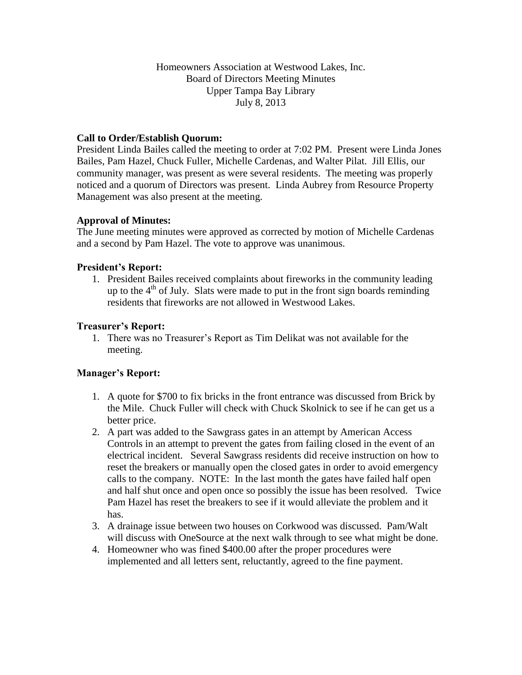### Homeowners Association at Westwood Lakes, Inc. Board of Directors Meeting Minutes Upper Tampa Bay Library July 8, 2013

## **Call to Order/Establish Quorum:**

President Linda Bailes called the meeting to order at 7:02 PM. Present were Linda Jones Bailes, Pam Hazel, Chuck Fuller, Michelle Cardenas, and Walter Pilat. Jill Ellis, our community manager, was present as were several residents. The meeting was properly noticed and a quorum of Directors was present. Linda Aubrey from Resource Property Management was also present at the meeting.

### **Approval of Minutes:**

The June meeting minutes were approved as corrected by motion of Michelle Cardenas and a second by Pam Hazel. The vote to approve was unanimous.

### **President's Report:**

1. President Bailes received complaints about fireworks in the community leading up to the  $4<sup>th</sup>$  of July. Slats were made to put in the front sign boards reminding residents that fireworks are not allowed in Westwood Lakes.

### **Treasurer's Report:**

1. There was no Treasurer's Report as Tim Delikat was not available for the meeting.

### **Manager's Report:**

- 1. A quote for \$700 to fix bricks in the front entrance was discussed from Brick by the Mile. Chuck Fuller will check with Chuck Skolnick to see if he can get us a better price.
- 2. A part was added to the Sawgrass gates in an attempt by American Access Controls in an attempt to prevent the gates from failing closed in the event of an electrical incident. Several Sawgrass residents did receive instruction on how to reset the breakers or manually open the closed gates in order to avoid emergency calls to the company. NOTE: In the last month the gates have failed half open and half shut once and open once so possibly the issue has been resolved. Twice Pam Hazel has reset the breakers to see if it would alleviate the problem and it has.
- 3. A drainage issue between two houses on Corkwood was discussed. Pam/Walt will discuss with OneSource at the next walk through to see what might be done.
- 4. Homeowner who was fined \$400.00 after the proper procedures were implemented and all letters sent, reluctantly, agreed to the fine payment.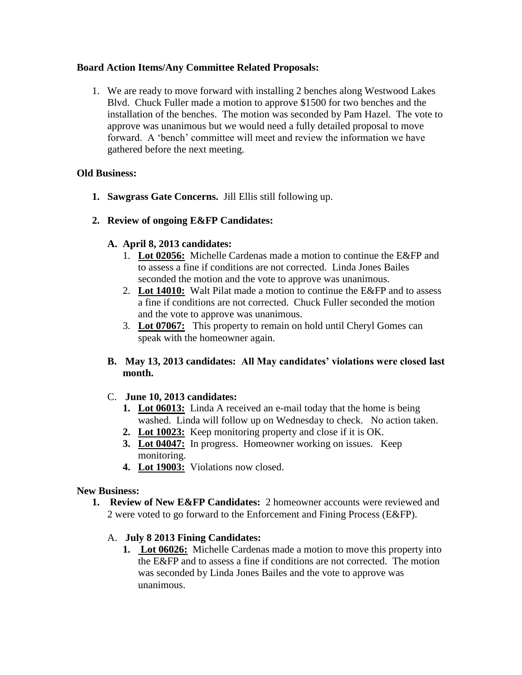## **Board Action Items/Any Committee Related Proposals:**

1. We are ready to move forward with installing 2 benches along Westwood Lakes Blvd. Chuck Fuller made a motion to approve \$1500 for two benches and the installation of the benches. The motion was seconded by Pam Hazel. The vote to approve was unanimous but we would need a fully detailed proposal to move forward. A 'bench' committee will meet and review the information we have gathered before the next meeting.

## **Old Business:**

- **1. Sawgrass Gate Concerns.** Jill Ellis still following up.
- **2. Review of ongoing E&FP Candidates:**

## **A. April 8, 2013 candidates:**

- 1. **Lot 02056:** Michelle Cardenas made a motion to continue the E&FP and to assess a fine if conditions are not corrected. Linda Jones Bailes seconded the motion and the vote to approve was unanimous.
- 2. **Lot 14010:** Walt Pilat made a motion to continue the E&FP and to assess a fine if conditions are not corrected. Chuck Fuller seconded the motion and the vote to approve was unanimous.
- 3. **Lot 07067:** This property to remain on hold until Cheryl Gomes can speak with the homeowner again.
- **B. May 13, 2013 candidates: All May candidates' violations were closed last month.**

# C. **June 10, 2013 candidates:**

- **1. Lot 06013:** Linda A received an e-mail today that the home is being washed. Linda will follow up on Wednesday to check. No action taken.
- **2. Lot 10023:** Keep monitoring property and close if it is OK.
- **3. Lot 04047:** In progress. Homeowner working on issues. Keep monitoring.
- **4. Lot 19003:** Violations now closed.

### **New Business:**

**1. Review of New E&FP Candidates:** 2 homeowner accounts were reviewed and 2 were voted to go forward to the Enforcement and Fining Process (E&FP).

# A. **July 8 2013 Fining Candidates:**

**1. Lot 06026:** Michelle Cardenas made a motion to move this property into the E&FP and to assess a fine if conditions are not corrected. The motion was seconded by Linda Jones Bailes and the vote to approve was unanimous.